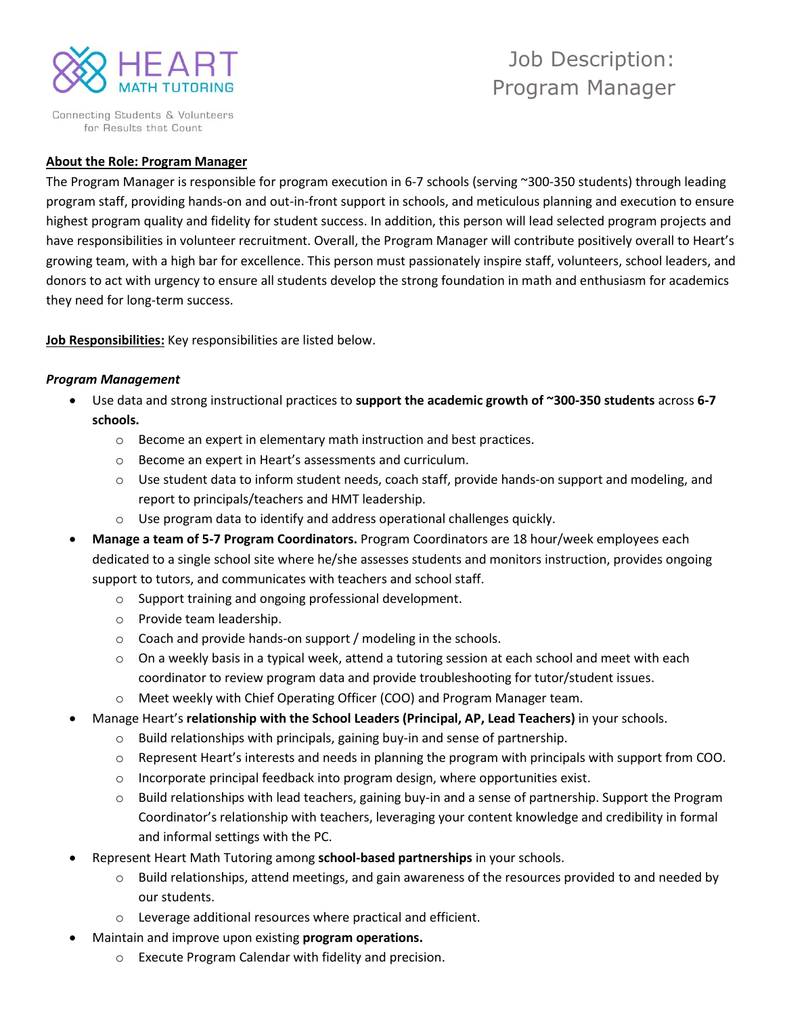

Connecting Students & Volunteers for Results that Count

# Job Description: Program Manager

#### **About the Role: Program Manager**

The Program Manager is responsible for program execution in 6-7 schools (serving ~300-350 students) through leading program staff, providing hands-on and out-in-front support in schools, and meticulous planning and execution to ensure highest program quality and fidelity for student success. In addition, this person will lead selected program projects and have responsibilities in volunteer recruitment. Overall, the Program Manager will contribute positively overall to Heart's growing team, with a high bar for excellence. This person must passionately inspire staff, volunteers, school leaders, and donors to act with urgency to ensure all students develop the strong foundation in math and enthusiasm for academics they need for long-term success.

**Job Responsibilities:** Key responsibilities are listed below.

#### *Program Management*

- Use data and strong instructional practices to **support the academic growth of ~300-350 students** across **6-7 schools.**
	- $\circ$  Become an expert in elementary math instruction and best practices.
	- o Become an expert in Heart's assessments and curriculum.
	- $\circ$  Use student data to inform student needs, coach staff, provide hands-on support and modeling, and report to principals/teachers and HMT leadership.
	- o Use program data to identify and address operational challenges quickly.
- **Manage a team of 5-7 Program Coordinators.** Program Coordinators are 18 hour/week employees each dedicated to a single school site where he/she assesses students and monitors instruction, provides ongoing support to tutors, and communicates with teachers and school staff.
	- o Support training and ongoing professional development.
	- o Provide team leadership.
	- o Coach and provide hands-on support / modeling in the schools.
	- $\circ$  On a weekly basis in a typical week, attend a tutoring session at each school and meet with each coordinator to review program data and provide troubleshooting for tutor/student issues.
	- o Meet weekly with Chief Operating Officer (COO) and Program Manager team.
- Manage Heart's **relationship with the School Leaders (Principal, AP, Lead Teachers)** in your schools.
	- o Build relationships with principals, gaining buy-in and sense of partnership.
	- $\circ$  Represent Heart's interests and needs in planning the program with principals with support from COO.
	- $\circ$  Incorporate principal feedback into program design, where opportunities exist.
	- $\circ$  Build relationships with lead teachers, gaining buy-in and a sense of partnership. Support the Program Coordinator's relationship with teachers, leveraging your content knowledge and credibility in formal and informal settings with the PC.
- Represent Heart Math Tutoring among **school-based partnerships** in your schools.
	- $\circ$  Build relationships, attend meetings, and gain awareness of the resources provided to and needed by our students.
	- o Leverage additional resources where practical and efficient.
- Maintain and improve upon existing **program operations.** 
	- o Execute Program Calendar with fidelity and precision.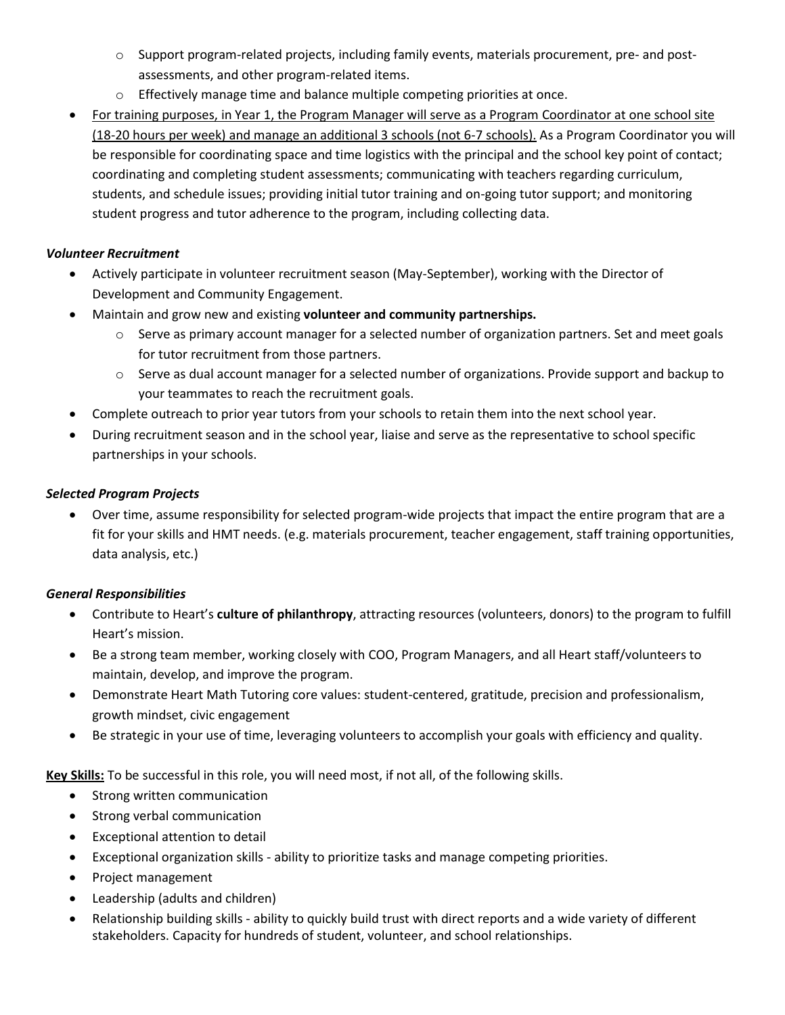- o Support program-related projects, including family events, materials procurement, pre- and postassessments, and other program-related items.
- o Effectively manage time and balance multiple competing priorities at once.
- For training purposes, in Year 1, the Program Manager will serve as a Program Coordinator at one school site (18-20 hours per week) and manage an additional 3 schools (not 6-7 schools). As a Program Coordinator you will be responsible for coordinating space and time logistics with the principal and the school key point of contact; coordinating and completing student assessments; communicating with teachers regarding curriculum, students, and schedule issues; providing initial tutor training and on-going tutor support; and monitoring student progress and tutor adherence to the program, including collecting data.

### *Volunteer Recruitment*

- Actively participate in volunteer recruitment season (May-September), working with the Director of Development and Community Engagement.
- Maintain and grow new and existing **volunteer and community partnerships.**
	- $\circ$  Serve as primary account manager for a selected number of organization partners. Set and meet goals for tutor recruitment from those partners.
	- $\circ$  Serve as dual account manager for a selected number of organizations. Provide support and backup to your teammates to reach the recruitment goals.
- Complete outreach to prior year tutors from your schools to retain them into the next school year.
- During recruitment season and in the school year, liaise and serve as the representative to school specific partnerships in your schools.

# *Selected Program Projects*

• Over time, assume responsibility for selected program-wide projects that impact the entire program that are a fit for your skills and HMT needs. (e.g. materials procurement, teacher engagement, staff training opportunities, data analysis, etc.)

# *General Responsibilities*

- Contribute to Heart's **culture of philanthropy**, attracting resources (volunteers, donors) to the program to fulfill Heart's mission.
- Be a strong team member, working closely with COO, Program Managers, and all Heart staff/volunteers to maintain, develop, and improve the program.
- Demonstrate Heart Math Tutoring core values: student-centered, gratitude, precision and professionalism, growth mindset, civic engagement
- Be strategic in your use of time, leveraging volunteers to accomplish your goals with efficiency and quality.

**Key Skills:** To be successful in this role, you will need most, if not all, of the following skills.

- Strong written communication
- Strong verbal communication
- Exceptional attention to detail
- Exceptional organization skills ability to prioritize tasks and manage competing priorities.
- Project management
- Leadership (adults and children)
- Relationship building skills ability to quickly build trust with direct reports and a wide variety of different stakeholders. Capacity for hundreds of student, volunteer, and school relationships.